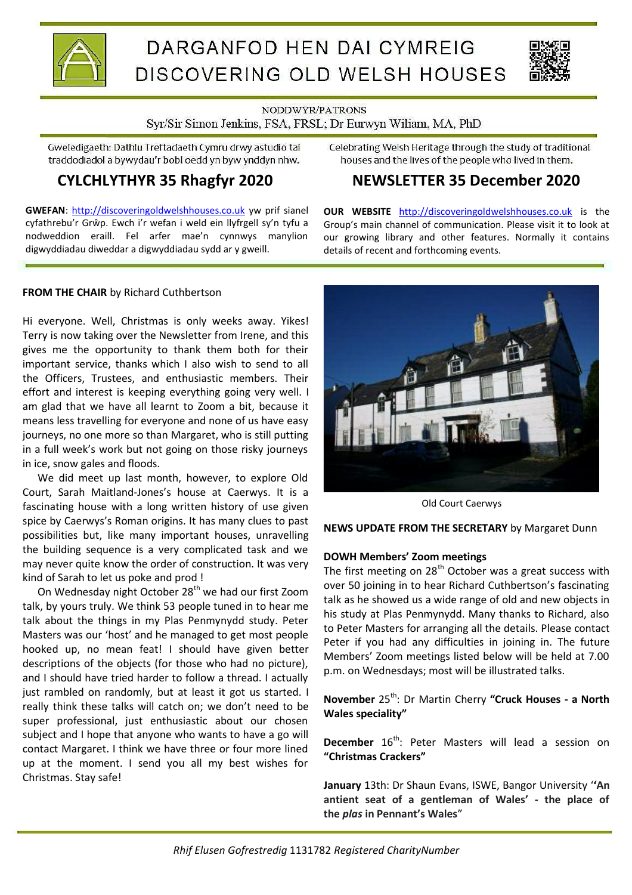

# DARGANFOD HEN DAI CYMREIG DISCOVERING OLD WELSH HOUSES



NODDWYR/PATRONS

# Syr/Sir Simon Jenkins, FSA, FRSL; Dr Eurwyn Wiliam, MA, PhD

Gweledigaeth: Dathlu Treftadaeth Cymru drwy astudio tai traddodiadol a bywydau'r bobl oedd yn byw ynddyn nhw.

# **CYLCHLYTHYR 35 Rhagfyr 2020**

**GWEFAN**: http://discoveringoldwelshhouses.co.uk yw prif sianel cyfathrebu'r Grŵp. Ewch i'r wefan i weld ein llyfrgell sy'n tyfu a nodweddion eraill. Fel arfer mae'n cynnwys manylion digwyddiadau diweddar a digwyddiadau sydd ar y gweill.

Celebrating Welsh Heritage through the study of traditional houses and the lives of the people who lived in them.

# **NEWSLETTER 35 December 2020**

**OUR WEBSITE** http://discoveringoldwelshhouses.co.uk is the Group's main channel of communication. Please visit it to look at our growing library and other features. Normally it contains details of recent and forthcoming events.

# **FROM THE CHAIR** by Richard Cuthbertson

Hi everyone. Well, Christmas is only weeks away. Yikes! Terry is now taking over the Newsletter from Irene, and this gives me the opportunity to thank them both for their important service, thanks which I also wish to send to all the Officers, Trustees, and enthusiastic members. Their effort and interest is keeping everything going very well. I am glad that we have all learnt to Zoom a bit, because it means less travelling for everyone and none of us have easy journeys, no one more so than Margaret, who is still putting in a full week's work but not going on those risky journeys in ice, snow gales and floods.

We did meet up last month, however, to explore Old Court, Sarah Maitland-Jonesís house at Caerwys. It is a fascinating house with a long written history of use given spice by Caerwys's Roman origins. It has many clues to past possibilities but, like many important houses, unravelling the building sequence is a very complicated task and we may never quite know the order of construction. It was very kind of Sarah to let us poke and prod !

On Wednesday night October 28<sup>th</sup> we had our first Zoom talk, by yours truly. We think 53 people tuned in to hear me talk about the things in my Plas Penmynydd study. Peter Masters was our 'host' and he managed to get most people hooked up, no mean feat! I should have given better descriptions of the objects (for those who had no picture), and I should have tried harder to follow a thread. I actually just rambled on randomly, but at least it got us started. I really think these talks will catch on; we don't need to be super professional, just enthusiastic about our chosen subject and I hope that anyone who wants to have a go will contact Margaret. I think we have three or four more lined up at the moment. I send you all my best wishes for Christmas. Stay safe!



Old Court Caerwys

**NEWS UPDATE FROM THE SECRETARY** by Margaret Dunn

# **DOWH Members' Zoom meetings**

The first meeting on  $28<sup>th</sup>$  October was a great success with over 50 joining in to hear Richard Cuthbertson's fascinating talk as he showed us a wide range of old and new objects in his study at Plas Penmynydd. Many thanks to Richard, also to Peter Masters for arranging all the details. Please contact Peter if you had any difficulties in joining in. The future Membersí Zoom meetings listed below will be held at 7.00 p.m. on Wednesdays; most will be illustrated talks.

**November** 25th: Dr Martin Cherry **"Cruck Houses - a North Wales speciality"**

**December** 16<sup>th</sup>: Peter Masters will lead a session on **"Christmas Crackers"** 

**January** 13th: Dr Shaun Evans, ISWE, Bangor University ë**'An antient seat of a gentleman of Wales' - the place of the** *plas* **in Pennant's Wales**î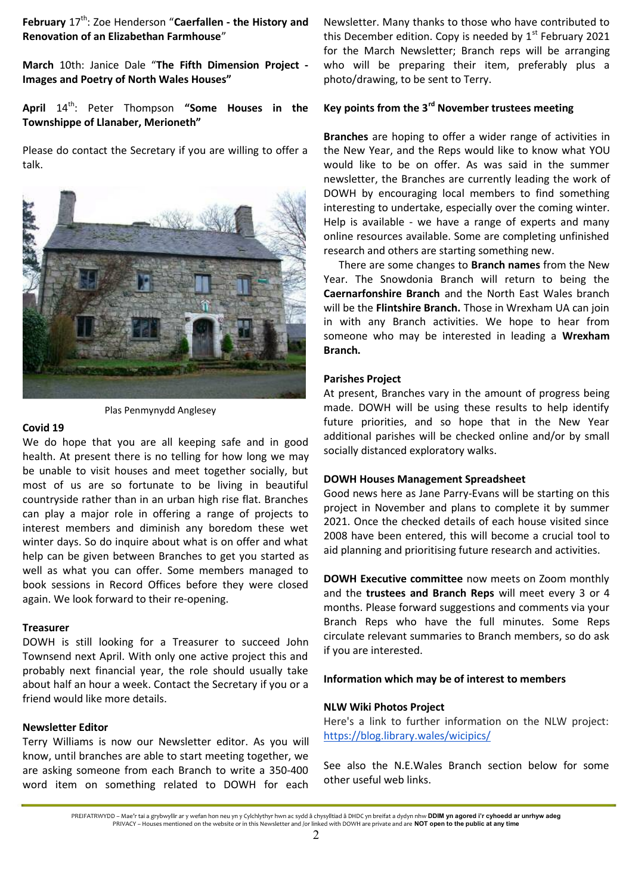**February** 17<sup>th</sup>: Zoe Henderson "Caerfallen - the History and **Renovation of an Elizabethan Farmhouse**"

**March** 10th: Janice Dale "**The Fifth Dimension Project - Images and Poetry of North Wales Houses"** 

April 14<sup>th</sup>: Peter Thompson "Some Houses in the **Townshippe of Llanaber, Merioneth"** 

Please do contact the Secretary if you are willing to offer a talk.



Plas Penmynydd Anglesey

#### **Covid 19**

We do hope that you are all keeping safe and in good health. At present there is no telling for how long we may be unable to visit houses and meet together socially, but most of us are so fortunate to be living in beautiful countryside rather than in an urban high rise flat. Branches can play a major role in offering a range of projects to interest members and diminish any boredom these wet winter days. So do inquire about what is on offer and what help can be given between Branches to get you started as well as what you can offer. Some members managed to book sessions in Record Offices before they were closed again. We look forward to their re-opening.

#### **Treasurer**

DOWH is still looking for a Treasurer to succeed John Townsend next April. With only one active project this and probably next financial year, the role should usually take about half an hour a week. Contact the Secretary if you or a friend would like more details.

### **Newsletter Editor**

Terry Williams is now our Newsletter editor. As you will know, until branches are able to start meeting together, we are asking someone from each Branch to write a 350-400 word item on something related to DOWH for each

Newsletter. Many thanks to those who have contributed to this December edition. Copy is needed by  $1<sup>st</sup>$  February 2021 for the March Newsletter; Branch reps will be arranging who will be preparing their item, preferably plus a photo/drawing, to be sent to Terry.

# **Key points from the 3rd November trustees meeting**

**Branches** are hoping to offer a wider range of activities in the New Year, and the Reps would like to know what YOU would like to be on offer. As was said in the summer newsletter, the Branches are currently leading the work of DOWH by encouraging local members to find something interesting to undertake, especially over the coming winter. Help is available - we have a range of experts and many online resources available. Some are completing unfinished research and others are starting something new.

There are some changes to **Branch names** from the New Year. The Snowdonia Branch will return to being the **Caernarfonshire Branch** and the North East Wales branch will be the **Flintshire Branch.** Those in Wrexham UA can join in with any Branch activities. We hope to hear from someone who may be interested in leading a **Wrexham Branch.**

#### **Parishes Project**

At present, Branches vary in the amount of progress being made. DOWH will be using these results to help identify future priorities, and so hope that in the New Year additional parishes will be checked online and/or by small socially distanced exploratory walks.

#### **DOWH Houses Management Spreadsheet**

Good news here as Jane Parry-Evans will be starting on this project in November and plans to complete it by summer 2021. Once the checked details of each house visited since 2008 have been entered, this will become a crucial tool to aid planning and prioritising future research and activities.

**DOWH Executive committee** now meets on Zoom monthly and the **trustees and Branch Reps** will meet every 3 or 4 months. Please forward suggestions and comments via your Branch Reps who have the full minutes. Some Reps circulate relevant summaries to Branch members, so do ask if you are interested.

#### **Information which may be of interest to members**

#### **NLW Wiki Photos Project**

Here's a link to further information on the NLW project: https://blog.library.wales/wicipics/

See also the N.E.Wales Branch section below for some other useful web links.

PREIFATRWYDD – Mae'r tai a grybwyllir ar y wefan hon neu yn y Cylchlythyr hwn ac sydd â chysylltiad â DHDC yn breifat a dydyn nhw **DDIM yn agored i'r cyhoedd ar unrhyw adeg** PRIVACY – Houses mentioned on the website or in this Newsletter and /or linked with DOWH are private and are **NOT open to the public at any time**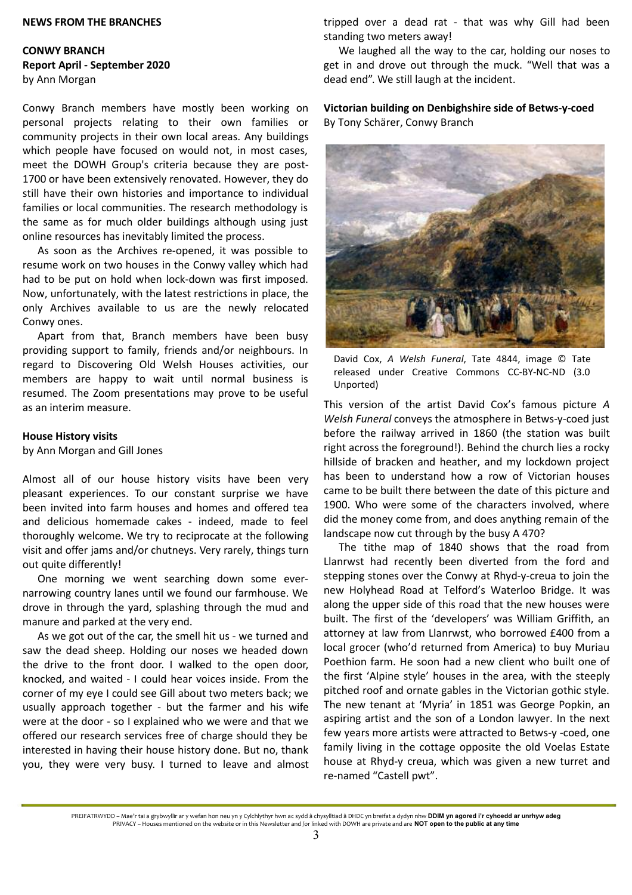#### **NEWS FROM THE BRANCHES**

## **CONWY BRANCH Report April - September 2020**  by Ann Morgan

Conwy Branch members have mostly been working on personal projects relating to their own families or community projects in their own local areas. Any buildings which people have focused on would not, in most cases, meet the DOWH Group's criteria because they are post-1700 or have been extensively renovated. However, they do still have their own histories and importance to individual families or local communities. The research methodology is the same as for much older buildings although using just online resources has inevitably limited the process.

As soon as the Archives re-opened, it was possible to resume work on two houses in the Conwy valley which had had to be put on hold when lock-down was first imposed. Now, unfortunately, with the latest restrictions in place, the only Archives available to us are the newly relocated Conwy ones.

Apart from that, Branch members have been busy providing support to family, friends and/or neighbours. In regard to Discovering Old Welsh Houses activities, our members are happy to wait until normal business is resumed. The Zoom presentations may prove to be useful as an interim measure.

#### **House History visits**

by Ann Morgan and Gill Jones

Almost all of our house history visits have been very pleasant experiences. To our constant surprise we have been invited into farm houses and homes and offered tea and delicious homemade cakes - indeed, made to feel thoroughly welcome. We try to reciprocate at the following visit and offer jams and/or chutneys. Very rarely, things turn out quite differently!

One morning we went searching down some evernarrowing country lanes until we found our farmhouse. We drove in through the yard, splashing through the mud and manure and parked at the very end.

As we got out of the car, the smell hit us - we turned and saw the dead sheep. Holding our noses we headed down the drive to the front door. I walked to the open door, knocked, and waited - I could hear voices inside. From the corner of my eye I could see Gill about two meters back; we usually approach together - but the farmer and his wife were at the door - so I explained who we were and that we offered our research services free of charge should they be interested in having their house history done. But no, thank you, they were very busy. I turned to leave and almost tripped over a dead rat - that was why Gill had been standing two meters away!

We laughed all the way to the car, holding our noses to get in and drove out through the muck. "Well that was a dead end". We still laugh at the incident.

**Victorian building on Denbighshire side of Betws-y-coed**  By Tony Schärer, Conwy Branch



David Cox, *A Welsh Funeral*, Tate 4844, image © Tate released under Creative Commons CC-BY-NC-ND (3.0 Unported)

This version of the artist David Cox's famous picture *A Welsh Funeral* conveys the atmosphere in Betws-y-coed just before the railway arrived in 1860 (the station was built right across the foreground!). Behind the church lies a rocky hillside of bracken and heather, and my lockdown project has been to understand how a row of Victorian houses came to be built there between the date of this picture and 1900. Who were some of the characters involved, where did the money come from, and does anything remain of the landscape now cut through by the busy A 470?

The tithe map of 1840 shows that the road from Llanrwst had recently been diverted from the ford and stepping stones over the Conwy at Rhyd-y-creua to join the new Holyhead Road at Telford's Waterloo Bridge. It was along the upper side of this road that the new houses were built. The first of the 'developers' was William Griffith, an attorney at law from Llanrwst, who borrowed £400 from a local grocer (who'd returned from America) to buy Muriau Poethion farm. He soon had a new client who built one of the first 'Alpine style' houses in the area, with the steeply pitched roof and ornate gables in the Victorian gothic style. The new tenant at 'Myria' in 1851 was George Popkin, an aspiring artist and the son of a London lawyer. In the next few years more artists were attracted to Betws-y -coed, one family living in the cottage opposite the old Voelas Estate house at Rhyd-y creua, which was given a new turret and re-named "Castell pwt".

PREIFATRWYDD – Mae'r tai a grybwyllir ar y wefan hon neu yn y Cylchlythyr hwn ac sydd â chysylltiad â DHDC yn breifat a dydyn nhw **DDIM yn agored i'r cyhoedd ar unrhyw adeg** PRIVACY – Houses mentioned on the website or in this Newsletter and /or linked with DOWH are private and are **NOT open to the public at any time**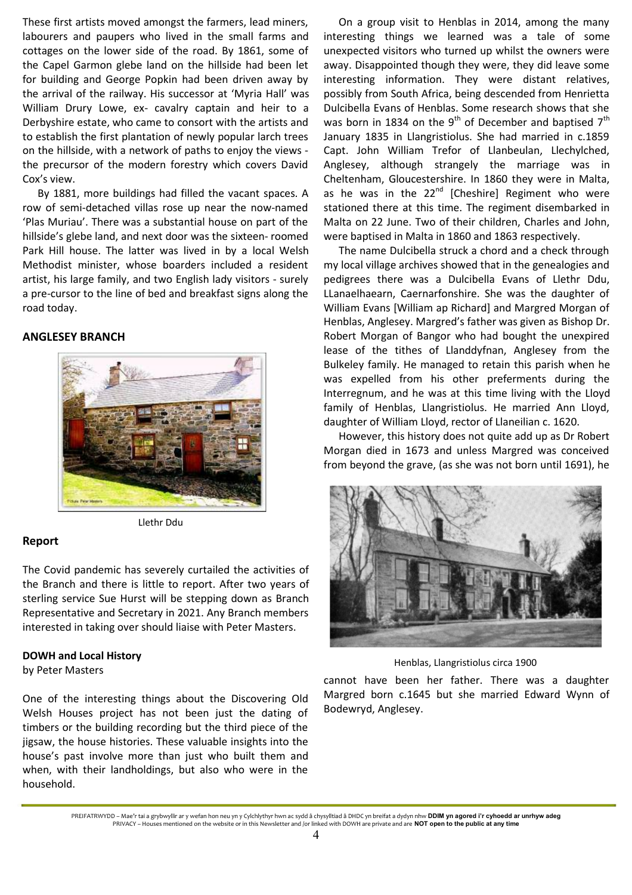These first artists moved amongst the farmers, lead miners, labourers and paupers who lived in the small farms and cottages on the lower side of the road. By 1861, some of the Capel Garmon glebe land on the hillside had been let for building and George Popkin had been driven away by the arrival of the railway. His successor at 'Myria Hall' was William Drury Lowe, ex- cavalry captain and heir to a Derbyshire estate, who came to consort with the artists and to establish the first plantation of newly popular larch trees on the hillside, with a network of paths to enjoy the views the precursor of the modern forestry which covers David Cox's view.

By 1881, more buildings had filled the vacant spaces. A row of semi-detached villas rose up near the now-named 'Plas Muriau'. There was a substantial house on part of the hillside's glebe land, and next door was the sixteen- roomed Park Hill house. The latter was lived in by a local Welsh Methodist minister, whose boarders included a resident artist, his large family, and two English lady visitors - surely a pre-cursor to the line of bed and breakfast signs along the road today.

## **ANGLESEY BRANCH**



Llethr Ddu

## **Report**

The Covid pandemic has severely curtailed the activities of the Branch and there is little to report. After two years of sterling service Sue Hurst will be stepping down as Branch Representative and Secretary in 2021. Any Branch members interested in taking over should liaise with Peter Masters.

## **DOWH and Local History**

by Peter Masters

One of the interesting things about the Discovering Old Welsh Houses project has not been just the dating of timbers or the building recording but the third piece of the jigsaw, the house histories. These valuable insights into the house's past involve more than just who built them and when, with their landholdings, but also who were in the household.

On a group visit to Henblas in 2014, among the many interesting things we learned was a tale of some unexpected visitors who turned up whilst the owners were away. Disappointed though they were, they did leave some interesting information. They were distant relatives, possibly from South Africa, being descended from Henrietta Dulcibella Evans of Henblas. Some research shows that she was born in 1834 on the 9<sup>th</sup> of December and baptised  $7<sup>th</sup>$ January 1835 in Llangristiolus. She had married in c.1859 Capt. John William Trefor of Llanbeulan, Llechylched, Anglesey, although strangely the marriage was in Cheltenham, Gloucestershire. In 1860 they were in Malta, as he was in the 22<sup>nd</sup> [Cheshire] Regiment who were stationed there at this time. The regiment disembarked in Malta on 22 June. Two of their children, Charles and John, were baptised in Malta in 1860 and 1863 respectively.

The name Dulcibella struck a chord and a check through my local village archives showed that in the genealogies and pedigrees there was a Dulcibella Evans of Llethr Ddu, LLanaelhaearn, Caernarfonshire. She was the daughter of William Evans [William ap Richard] and Margred Morgan of Henblas, Anglesey. Margred's father was given as Bishop Dr. Robert Morgan of Bangor who had bought the unexpired lease of the tithes of Llanddyfnan, Anglesey from the Bulkeley family. He managed to retain this parish when he was expelled from his other preferments during the Interregnum, and he was at this time living with the Lloyd family of Henblas, Llangristiolus. He married Ann Lloyd, daughter of William Lloyd, rector of Llaneilian c. 1620.

However, this history does not quite add up as Dr Robert Morgan died in 1673 and unless Margred was conceived from beyond the grave, (as she was not born until 1691), he



Henblas, Llangristiolus circa 1900

cannot have been her father. There was a daughter Margred born c.1645 but she married Edward Wynn of Bodewryd, Anglesey.

PREIFATRWYDD – Mae'r tai a grybwyllir ar y wefan hon neu yn y Cylchlythyr hwn ac sydd â chysylltiad â DHDC yn breifat a dydyn nhw **DDIM yn agored i'r cyhoedd ar unrhyw adeg** PRIVACY – Houses mentioned on the website or in this Newsletter and /or linked with DOWH are private and are **NOT open to the public at any time**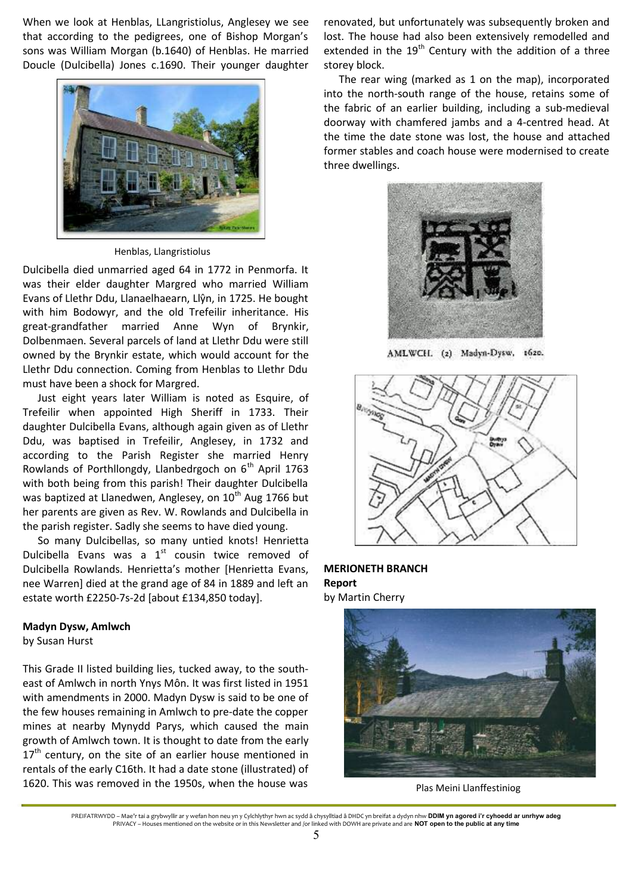When we look at Henblas, LLangristiolus, Anglesey we see that according to the pedigrees, one of Bishop Morgan's sons was William Morgan (b.1640) of Henblas. He married Doucle (Dulcibella) Jones c.1690. Their younger daughter



Henblas, Llangristiolus

Dulcibella died unmarried aged 64 in 1772 in Penmorfa. It was their elder daughter Margred who married William Evans of Llethr Ddu, Llanaelhaearn, Llŷn, in 1725. He bought with him Bodowyr, and the old Trefeilir inheritance. His great-grandfather married Anne Wyn of Brynkir, Dolbenmaen. Several parcels of land at Llethr Ddu were still owned by the Brynkir estate, which would account for the Llethr Ddu connection. Coming from Henblas to Llethr Ddu must have been a shock for Margred.

Just eight years later William is noted as Esquire, of Trefeilir when appointed High Sheriff in 1733. Their daughter Dulcibella Evans, although again given as of Llethr Ddu, was baptised in Trefeilir, Anglesey, in 1732 and according to the Parish Register she married Henry Rowlands of Porthllongdy, Llanbedrgoch on  $6<sup>th</sup>$  April 1763 with both being from this parish! Their daughter Dulcibella was baptized at Llanedwen, Anglesey, on 10<sup>th</sup> Aug 1766 but her parents are given as Rev. W. Rowlands and Dulcibella in the parish register. Sadly she seems to have died young.

So many Dulcibellas, so many untied knots! Henrietta Dulcibella Evans was a  $1<sup>st</sup>$  cousin twice removed of Dulcibella Rowlands. Henriettaís mother [Henrietta Evans, nee Warren] died at the grand age of 84 in 1889 and left an estate worth £2250-7s-2d [about £134,850 today].

#### **Madyn Dysw, Amlwch**

by Susan Hurst

This Grade II listed building lies, tucked away, to the southeast of Amlwch in north Ynys Môn. It was first listed in 1951 with amendments in 2000. Madyn Dysw is said to be one of the few houses remaining in Amlwch to pre-date the copper mines at nearby Mynydd Parys, which caused the main growth of Amlwch town. It is thought to date from the early  $17<sup>th</sup>$  century, on the site of an earlier house mentioned in rentals of the early C16th. It had a date stone (illustrated) of 1620. This was removed in the 1950s, when the house was

renovated, but unfortunately was subsequently broken and lost. The house had also been extensively remodelled and extended in the  $19<sup>th</sup>$  Century with the addition of a three storey block.

The rear wing (marked as 1 on the map), incorporated into the north-south range of the house, retains some of the fabric of an earlier building, including a sub-medieval doorway with chamfered jambs and a 4-centred head. At the time the date stone was lost, the house and attached former stables and coach house were modernised to create three dwellings.



AMLWCH. (2) Madyn-Dysw. 1620.



**MERIONETH BRANCH Report**  by Martin Cherry



Plas Meini Llanffestiniog

PREIFATRWYDD – Mae'r tai a grybwyllir ar y wefan hon neu yn y Cylchlythyr hwn ac sydd â chysylltiad â DHDC yn breifat a dydyn nhw **DDIM yn agored i'r cyhoedd ar unrhyw adeg** PRIVACY – Houses mentioned on the website or in this Newsletter and /or linked with DOWH are private and are **NOT open to the public at any time**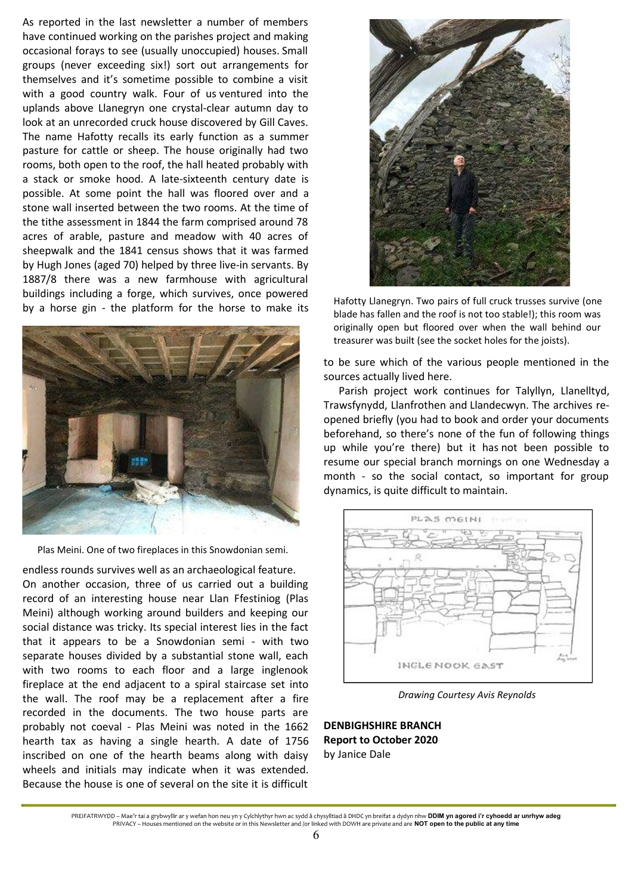As reported in the last newsletter a number of members have continued working on the parishes project and making occasional forays to see (usually unoccupied) houses. Small groups (never exceeding six!) sort out arrangements for themselves and it's sometime possible to combine a visit with a good country walk. Four of us ventured into the uplands above Llanegryn one crystal-clear autumn day to look at an unrecorded cruck house discovered by Gill Caves. The name Hafotty recalls its early function as a summer pasture for cattle or sheep. The house originally had two rooms, both open to the roof, the hall heated probably with a stack or smoke hood. A late-sixteenth century date is possible. At some point the hall was floored over and a stone wall inserted between the two rooms. At the time of the tithe assessment in 1844 the farm comprised around 78 acres of arable, pasture and meadow with 40 acres of sheepwalk and the 1841 census shows that it was farmed by Hugh Jones (aged 70) helped by three live-in servants. By 1887/8 there was a new farmhouse with agricultural buildings including a forge, which survives, once powered by a horse gin - the platform for the horse to make its



Plas Meini. One of two fireplaces in this Snowdonian semi.

endless rounds survives well as an archaeological feature. On another occasion, three of us carried out a building record of an interesting house near Llan Ffestiniog (Plas Meini) although working around builders and keeping our social distance was tricky. Its special interest lies in the fact that it appears to be a Snowdonian semi - with two separate houses divided by a substantial stone wall, each with two rooms to each floor and a large inglenook fireplace at the end adjacent to a spiral staircase set into the wall. The roof may be a replacement after a fire recorded in the documents. The two house parts are probably not coeval - Plas Meini was noted in the 1662 hearth tax as having a single hearth. A date of 1756 inscribed on one of the hearth beams along with daisy wheels and initials may indicate when it was extended. Because the house is one of several on the site it is difficult



Hafotty Llanegryn. Two pairs of full cruck trusses survive (one blade has fallen and the roof is not too stable!); this room was originally open but floored over when the wall behind our treasurer was built (see the socket holes for the joists).

to be sure which of the various people mentioned in the sources actually lived here.

Parish project work continues for Talyllyn, Llanelltyd, Trawsfynydd, Llanfrothen and Llandecwyn. The archives reopened briefly (you had to book and order your documents beforehand, so there's none of the fun of following things up while youíre there) but it has not been possible to resume our special branch mornings on one Wednesday a month - so the social contact, so important for group dynamics, is quite difficult to maintain.



*Drawing Courtesy Avis Reynolds*

**DENBIGHSHIRE BRANCH Report to October 2020**  by Janice Dale

PREIFATRWYDD – Mae'r tai a grybwyllir ar y wefan hon neu yn y Cylchlythyr hwn ac sydd â chysylltiad â DHDC yn breifat a dydyn nhw **DDIM yn agored i'r cyhoedd ar unrhyw adeg** PRIVACY – Houses mentioned on the website or in this Newsletter and /or linked with DOWH are private and are **NOT open to the public at any time**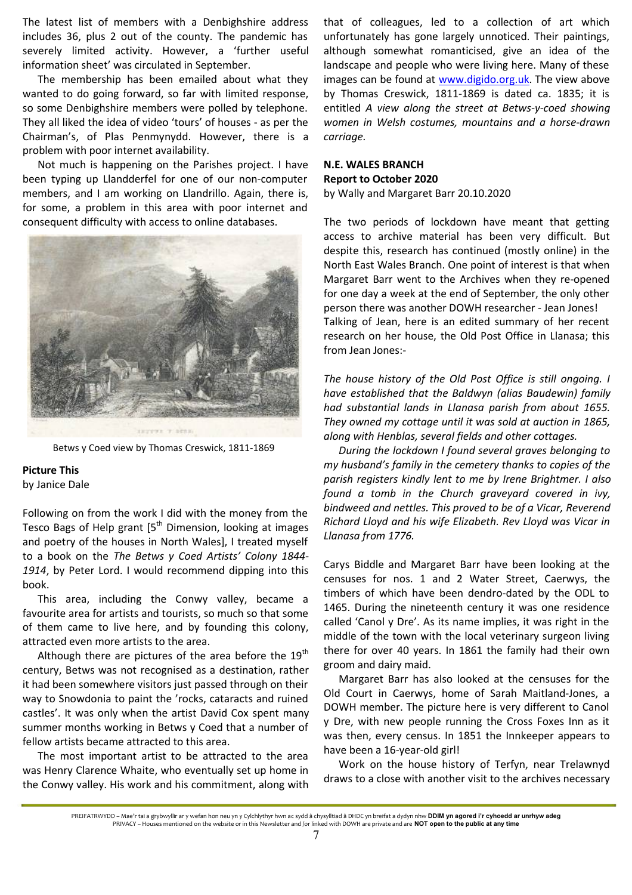The latest list of members with a Denbighshire address includes 36, plus 2 out of the county. The pandemic has severely limited activity. However, a 'further useful information sheet' was circulated in September.

The membership has been emailed about what they wanted to do going forward, so far with limited response, so some Denbighshire members were polled by telephone. They all liked the idea of video 'tours' of houses - as per the Chairmanís, of Plas Penmynydd. However, there is a problem with poor internet availability.

Not much is happening on the Parishes project. I have been typing up Llandderfel for one of our non-computer members, and I am working on Llandrillo. Again, there is, for some, a problem in this area with poor internet and consequent difficulty with access to online databases.



Betws y Coed view by Thomas Creswick, 1811-1869

#### **Picture This**

by Janice Dale

Following on from the work I did with the money from the Tesco Bags of Help grant  $5<sup>th</sup>$  Dimension, looking at images and poetry of the houses in North Wales], I treated myself to a book on the *The Betws y Coed Artists' Colony 1844- 1914*, by Peter Lord. I would recommend dipping into this book.

This area, including the Conwy valley, became a favourite area for artists and tourists, so much so that some of them came to live here, and by founding this colony, attracted even more artists to the area.

Although there are pictures of the area before the  $19<sup>th</sup>$ century, Betws was not recognised as a destination, rather it had been somewhere visitors just passed through on their way to Snowdonia to paint the 'rocks, cataracts and ruined castles'. It was only when the artist David Cox spent many summer months working in Betws y Coed that a number of fellow artists became attracted to this area.

The most important artist to be attracted to the area was Henry Clarence Whaite, who eventually set up home in the Conwy valley. His work and his commitment, along with that of colleagues, led to a collection of art which unfortunately has gone largely unnoticed. Their paintings, although somewhat romanticised, give an idea of the landscape and people who were living here. Many of these images can be found at www.digido.org.uk. The view above by Thomas Creswick, 1811-1869 is dated ca. 1835; it is entitled *A view along the street at Betws-y-coed showing women in Welsh costumes, mountains and a horse-drawn carriage.* 

# **N.E. WALES BRANCH Report to October 2020**

by Wally and Margaret Barr 20.10.2020

The two periods of lockdown have meant that getting access to archive material has been very difficult. But despite this, research has continued (mostly online) in the North East Wales Branch. One point of interest is that when Margaret Barr went to the Archives when they re-opened for one day a week at the end of September, the only other person there was another DOWH researcher - Jean Jones! Talking of Jean, here is an edited summary of her recent research on her house, the Old Post Office in Llanasa; this from Jean Jones:-

*The house history of the Old Post Office is still ongoing. I have established that the Baldwyn (alias Baudewin) family had substantial lands in Llanasa parish from about 1655. They owned my cottage until it was sold at auction in 1865, along with Henblas, several fields and other cottages.* 

*During the lockdown I found several graves belonging to my husband's family in the cemetery thanks to copies of the parish registers kindly lent to me by Irene Brightmer. I also found a tomb in the Church graveyard covered in ivy, bindweed and nettles. This proved to be of a Vicar, Reverend Richard Lloyd and his wife Elizabeth. Rev Lloyd was Vicar in Llanasa from 1776.* 

Carys Biddle and Margaret Barr have been looking at the censuses for nos. 1 and 2 Water Street, Caerwys, the timbers of which have been dendro-dated by the ODL to 1465. During the nineteenth century it was one residence called 'Canol y Dre'. As its name implies, it was right in the middle of the town with the local veterinary surgeon living there for over 40 years. In 1861 the family had their own groom and dairy maid.

Margaret Barr has also looked at the censuses for the Old Court in Caerwys, home of Sarah Maitland-Jones, a DOWH member. The picture here is very different to Canol y Dre, with new people running the Cross Foxes Inn as it was then, every census. In 1851 the Innkeeper appears to have been a 16-year-old girl!

Work on the house history of Terfyn, near Trelawnyd draws to a close with another visit to the archives necessary

PREIFATRWYDD – Mae'r tai a grybwyllir ar y wefan hon neu yn y Cylchlythyr hwn ac sydd â chysylltiad â DHDC yn breifat a dydyn nhw **DDIM yn agored i'r cyhoedd ar unrhyw adeg** PRIVACY – Houses mentioned on the website or in this Newsletter and /or linked with DOWH are private and are **NOT open to the public at any time**